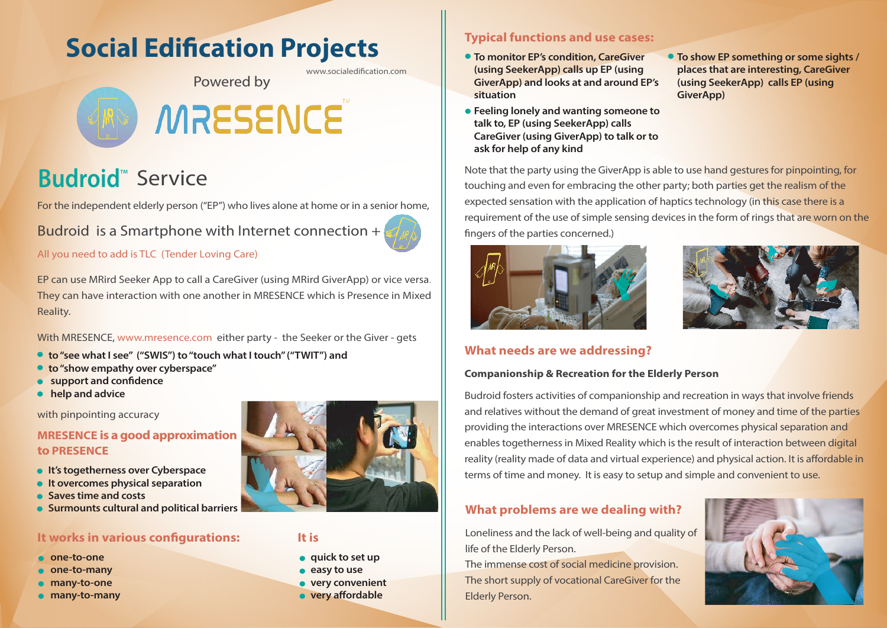# **Social Edification Projects**

www.socialedification.com

# Powered by

# MRESENCE

# **Budroid**<sup>™</sup> Service

For the independent elderly person ("EP") who lives alone at home or in a senior home,

Budroid is a Smartphone with Internet connection +

All you need to add is TLC (Tender Loving Care)

EP can use MRird Seeker App to call a CareGiver (using MRird GiverApp) or vice versa. They can have interaction with one another in MRESENCE which is Presence in Mixed Reality.

With MRESENCE, www.mresence.com either party - the Seeker or the Giver - gets

- **to "see what I see" ("SWIS") to "touch what I touch" ("TWIT") and**
- **to "show empathy over cyberspace"**
- **support and confidence**
- **help and advice**

with pinpointing accuracy

### **MRESENCE is a good approximation to PRESENCE**

- **It's togetherness over Cyberspace**
- **•** It overcomes physical separation
- **Saves time and costs**
- **Surmounts cultural and political barriers**

## **It works in various configurations:**

- **one-to-one**
- **one-to-many**
- **many-to-one**
- **many-to-many**



#### **It is**

- **• quick to set up**
- **easy to use**
- **very convenient**
- **very affordable**

# **Typical functions and use cases:**

- **To monitor EP's condition, CareGiver (using SeekerApp) calls up EP (using GiverApp) and looks at and around EP's situation**
- **Feeling lonely and wanting someone to talk to, EP (using SeekerApp) calls CareGiver (using GiverApp) to talk or to ask for help of any kind**
- **To show EP something or some sights / places that are interesting, CareGiver (using SeekerApp) calls EP (using GiverApp)**

Note that the party using the GiverApp is able to use hand gestures for pinpointing, for touching and even for embracing the other party; both parties get the realism of the expected sensation with the application of haptics technology (in this case there is a requirement of the use of simple sensing devices in the form of rings that are worn on the fingers of the parties concerned.)





## **What needs are we addressing?**

#### **Companionship & Recreation for the Elderly Person**

Budroid fosters activities of companionship and recreation in ways that involve friends and relatives without the demand of great investment of money and time of the parties providing the interactions over MRESENCE which overcomes physical separation and enables togetherness in Mixed Reality which is the result of interaction between digital reality (reality made of data and virtual experience) and physical action. It is affordable in terms of time and money. It is easy to setup and simple and convenient to use.

# **What problems are we dealing with?**

Loneliness and the lack of well-being and quality of life of the Elderly Person.

The immense cost of social medicine provision. The short supply of vocational CareGiver for the Elderly Person.